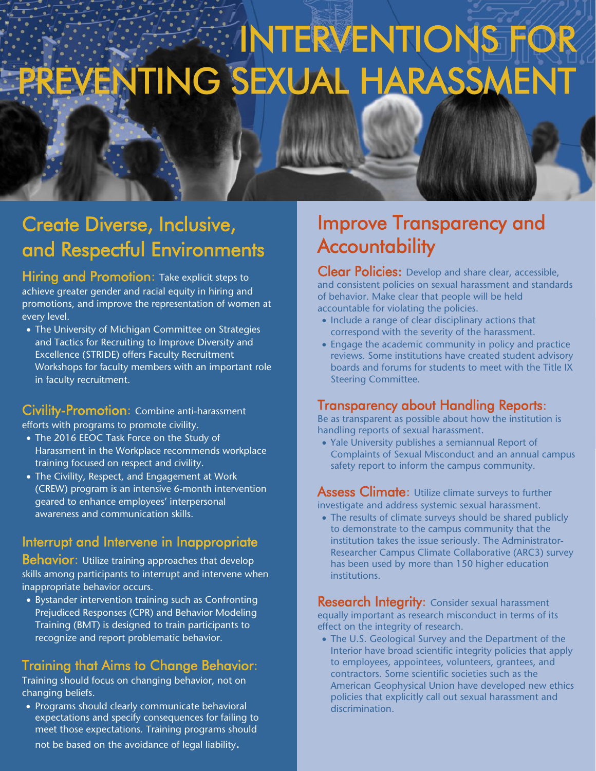# **EXTIDENTIONS FOR** PREVENTING SEXUAL HARASSMENT

## Create Diverse, Inclusive, and Respectful Environments

Hiring and Promotion: Take explicit steps to achieve greater gender and racial equity in hiring and promotions, and improve the representation of women at every level.

• The University of Michigan Committee on Strategies and Tactics for Recruiting to Improve Diversity and Excellence (STRIDE) offers Faculty Recruitment Workshops for faculty members with an important role in faculty recruitment.

#### Civility-Promotion: Combine anti-harassment

efforts with programs to promote civility.

- The 2016 EEOC Task Force on the Study of Harassment in the Workplace recommends workplace training focused on respect and civility.
- The Civility, Respect, and Engagement at Work (CREW) program is an intensive 6-month intervention geared to enhance employees' interpersonal awareness and communication skills.

#### Interrupt and Intervene in Inappropriate

**Behavior:** Utilize training approaches that develop skills among participants to interrupt and intervene when inappropriate behavior occurs.

• Bystander intervention training such as Confronting Prejudiced Responses (CPR) and Behavior Modeling Training (BMT) is designed to train participants to recognize and report problematic behavior.

#### Training that Aims to Change Behavior:

Training should focus on changing behavior, not on changing beliefs.

• Programs should clearly communicate behavioral expectations and specify consequences for failing to meet those expectations. Training programs should not be based on the avoidance of legal liability.

## Improve Transparency and **Accountability**

Clear Policies: Develop and share clear, accessible, and consistent policies on sexual harassment and standards of behavior. Make clear that people will be held accountable for violating the policies.

- Include a range of clear disciplinary actions that correspond with the severity of the harassment.
- Engage the academic community in policy and practice reviews. Some institutions have created student advisory boards and forums for students to meet with the Title IX Steering Committee.

#### Transparency about Handling Reports:

Be as transparent as possible about how the institution is handling reports of sexual harassment.

• Yale University publishes a semiannual Report of Complaints of Sexual Misconduct and an annual campus safety report to inform the campus community.

**Assess Climate:** Utilize climate surveys to further investigate and address systemic sexual harassment.

• The results of climate surveys should be shared publicly to demonstrate to the campus community that the institution takes the issue seriously. The Administrator-Researcher Campus Climate Collaborative (ARC3) survey has been used by more than 150 higher education institutions.

**Research Integrity:** Consider sexual harassment equally important as research misconduct in terms of its effect on the integrity of research.

• The U.S. Geological Survey and the Department of the Interior have broad scientific integrity policies that apply to employees, appointees, volunteers, grantees, and contractors. Some scientific societies such as the American Geophysical Union have developed new ethics policies that explicitly call out sexual harassment and discrimination.